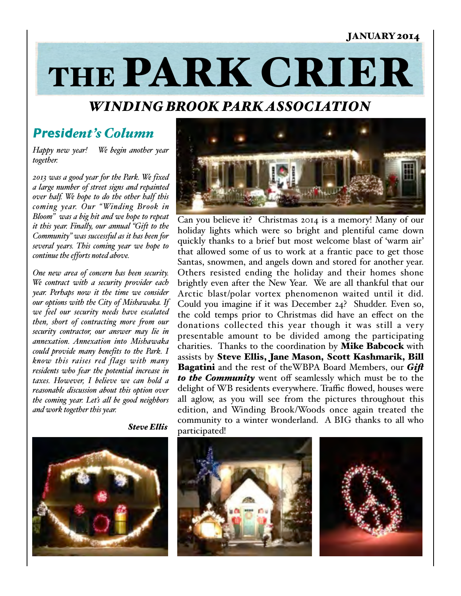#### JANUARY 2014

# THE PARK CRIER

## *WINDING BROOK PARK ASSOCIATION*

## *President's Column*

*Happy new year! We begin another year together.* 

*2013 was a good year for the Park. We fixed a large number of street signs and repainted over half. We hope to do the other half this coming year. Our "Winding Brook in Bloom" was a big hit and we hope to repeat it this year. Finally, our annual "Gift to the Community" was successful as it has been for several years. This coming year we hope to continue the efforts noted above.* 

*One new area of concern has been security. We contract with a security provider each year. Perhaps now it the time we consider our options with the City of Mishawaka. If we feel our security needs have escalated then, short of contracting more from our security contractor, our answer may lie in annexation. Annexation into Mishawaka could provide many benefits to the Park. I know this raises red flags with many residents who fear the potential increase in taxes. However, I believe we can hold a reasonable discussion about this option over the coming year. Let's all be good neighbors and work together this year.* 



Can you believe it? Christmas 2014 is a memory! Many of our holiday lights which were so bright and plentiful came down quickly thanks to a brief but most welcome blast of 'warm air' that allowed some of us to work at a frantic pace to get those Santas, snowmen, and angels down and stored for another year. Others resisted ending the holiday and their homes shone brightly even after the New Year. We are all thankful that our Arctic blast/polar vortex phenomenon waited until it did. Could you imagine if it was December 24? Shudder. Even so, the cold temps prior to Christmas did have an effect on the donations collected this year though it was still a very presentable amount to be divided among the participating charities. Thanks to the coordination by Mike Babcock with assists by Steve Ellis, Jane Mason, Scott Kashmarik, Bill Bagatini and the rest of theWBPA Board Members, our *Gif to the Community* went off seamlessly which must be to the delight of WB residents everywhere. Traffic flowed, houses were all aglow, as you will see from the pictures throughout this edition, and Winding Brook/Woods once again treated the community to a winter wonderland. A BIG thanks to all who participated!



 *Steve Ellis*



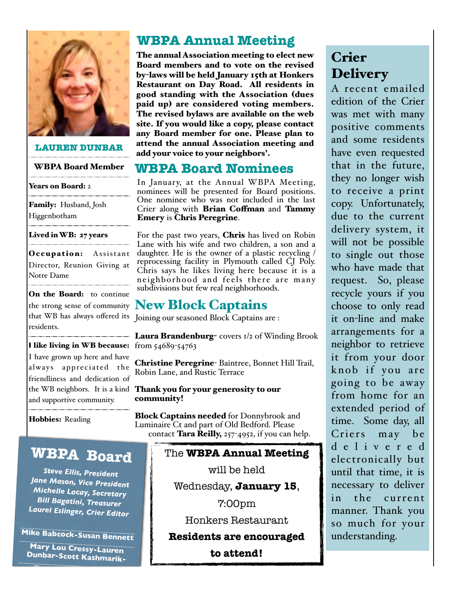

#### **LAUREN DUNBAR**

#### WBPA Board Member

#### Years on Board: 2

Family: Husband, Josh Higgenbotham

#### Lived in WB: 27 years

Occupation: Assistant Director, Reunion Giving at Notre Dame

On the Board: to continue residents.

**I** like living in WB because: from 54689-54763 I have grown up here and have always appreciated the friendliness and dedication of and supportive community.

Hobbies: Reading

# **WBPA Board**

*Steve Ellis, President Jane Mason, Vice President Michelle Lacay, Secretary Bill Bagatini, Treasurer Laurel Eslinger, Crier Editor*

**Mike Babcock-Susan Bennett**

**Mary Lou Cressy-Lauren Dunbar-Scott Kashmarik-**

**-Tara Reilly-Jen Simier-**

# **WBPA Annual Meeting**

The annual Association meeting to elect new Board members and to vote on the revised by-laws will be held January 15th at Honkers Restaurant on Day Road. All residents in good standing with the Association (dues paid up) are considered voting members. The revised bylaws are available on the web site. If you would like a copy, please contact any Board member for one. Please plan to attend the annual Association meeting and add your voice to your neighbors'.

## **WBPA Board Nominees**

In January, at the Annual WBPA Meeting, nominees will be presented for Board positions. One nominee who was not included in the last Crier along with Brian Coffman and Tammy Emery is Chris Peregrine.

For the past two years, Chris has lived on Robin Lane with his wife and two children, a son and a daughter. He is the owner of a plastic recycling / reprocessing facility in Plymouth called CJ Poly. Chris says he likes living here because it is a neighborhood and feels there are many subdivisions but few real neighborhoods.

# the strong sense of community  $\bf New \, Block \, Chapters$

that WB has always offered its Joining our seasoned Block Captains are :

Laura Brandenburg- covers 1/2 of Winding Brook

Christine Peregrine- Baintree, Bonnet Hill Trail, Robin Lane, and Rustic Terrace

the WB neighbors. It is a kind **Thank you for your generosity to our** community!

> Block Captains needed for Donnybrook and Luminaire Ct and part of Old Bedford. Please contact **Tara Reilly,**  $257-4952$ , if you can help.

## The **WBPA Annual Meeting**

will be held

Wednesday, **January 15**,

7:00pm

Honkers Restaurant

**Residents are encouraged** 

**to attend!**

# Crier **Delivery**

A recent emailed edition of the Crier was met with many positive comments and some residents have even requested that in the future, they no longer wish to receive a print copy. Unfortunately, due to the current delivery system, it will not be possible to single out those who have made that request. So, please recycle yours if you choose to only read it on-line and make arrangements for a neighbor to retrieve it from your door knob if you are going to be away from home for an extended period of time. Some day, all Criers may be d e l i v e r e d electronically but until that time, it is necessary to deliver in the current manner. Thank you so much for your understanding.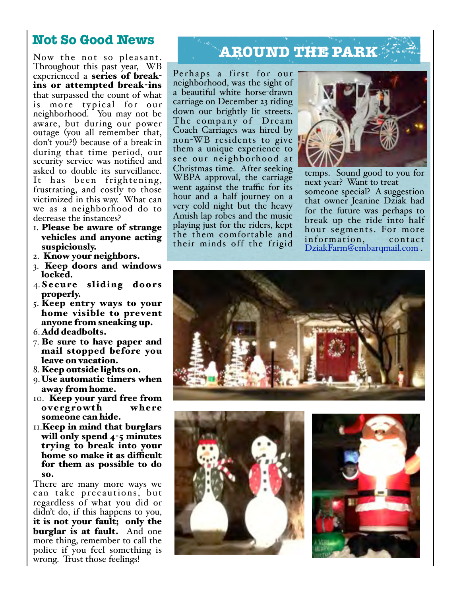## **Not So Good News**

Now the not so pleasant. Throughout this past year, WB experienced a series of breakins or attempted break-ins that surpassed the count of what is more typical for our neighborhood. You may not be aware, but during our power outage (you all remember that, don't you?!) because of a break-in during that time period, our security service was notified and asked to double its surveillance. It has been frightening, frustrating, and costly to those victimized in this way. What can we as a neighborhood do to decrease the instances?

- 1. Please be aware of strange vehicles and anyone acting suspiciously.
- 2. Know your neighbors.
- 3. Keep doors and windows locked.
- 4. Secure sliding doors properly.
- 5. Keep entry ways to your home visible to prevent anyone from sneaking up.
- 6.Add deadbolts.
- 7. Be sure to have paper and mail stopped before you leave on vacation.
- 8. Keep outside lights on.
- 9. Use automatic timers when away from home.
- 10. Keep your yard free from overgrowth where someone can hide.
- 11.Keep in mind that burglars will only spend 4-5 minutes trying to break into your home so make it as difficult for them as possible to do so.

There are many more ways we can take precautions, but regardless of what you did or didn't do, if this happens to you, it is not your fault; only the burglar is at fault. And one more thing, remember to call the police if you feel something is wrong. Trust those feelings!

# **AROUND THE PARK**

Perhaps a first for our neighborhood, was the sight of a beautiful white horse-drawn carriage on December 23 riding down our brightly lit streets. The company of Dream Coach Carriages was hired by non-WB residents to give them a unique experience to see our neighborhood at Christmas time. After seeking WBPA approval, the carriage went against the traffic for its hour and a half journey on a very cold night but the heavy Amish lap robes and the music playing just for the riders, kept the them comfortable and their minds off the frigid



temps. Sound good to you for next year? Want to treat someone special? A suggestion that owner Jeanine Dziak had for the future was perhaps to break up the ride into half hour segments. For more information, contact DziakFarm@embarqmail.com .